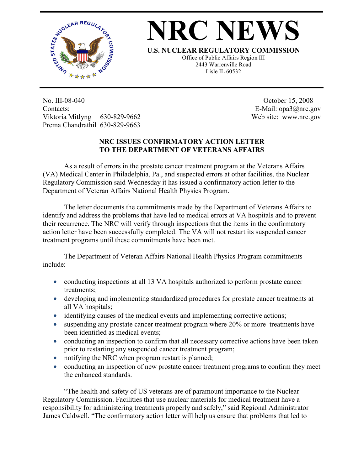

## **NRC NEW**

**U.S. NUCLEAR REGULATORY COMMISSION**

Office of Public Affairs Region III 2443 Warrenville Road Lisle IL 60532

No. III-08-040 Contacts: Viktoria Mitlyng 630-829-9662 Prema Chandrathil 630-829-9663

 October 15, 2008 E-Mail: opa3@nrc.gov Web site: www.nrc.gov

## **NRC ISSUES CONFIRMATORY ACTION LETTER TO THE DEPARTMENT OF VETERANS AFFAIRS**

 As a result of errors in the prostate cancer treatment program at the Veterans Affairs (VA) Medical Center in Philadelphia, Pa., and suspected errors at other facilities, the Nuclear Regulatory Commission said Wednesday it has issued a confirmatory action letter to the Department of Veteran Affairs National Health Physics Program.

 The letter documents the commitments made by the Department of Veterans Affairs to identify and address the problems that have led to medical errors at VA hospitals and to prevent their recurrence. The NRC will verify through inspections that the items in the confirmatory action letter have been successfully completed. The VA will not restart its suspended cancer treatment programs until these commitments have been met.

 The Department of Veteran Affairs National Health Physics Program commitments include:

- conducting inspections at all 13 VA hospitals authorized to perform prostate cancer treatments;
- developing and implementing standardized procedures for prostate cancer treatments at all VA hospitals;
- identifying causes of the medical events and implementing corrective actions;
- suspending any prostate cancer treatment program where 20% or more treatments have been identified as medical events;
- conducting an inspection to confirm that all necessary corrective actions have been taken prior to restarting any suspended cancer treatment program;
- notifying the NRC when program restart is planned;
- conducting an inspection of new prostate cancer treatment programs to confirm they meet the enhanced standards.

 "The health and safety of US veterans are of paramount importance to the Nuclear Regulatory Commission. Facilities that use nuclear materials for medical treatment have a responsibility for administering treatments properly and safely," said Regional Administrator James Caldwell. "The confirmatory action letter will help us ensure that problems that led to